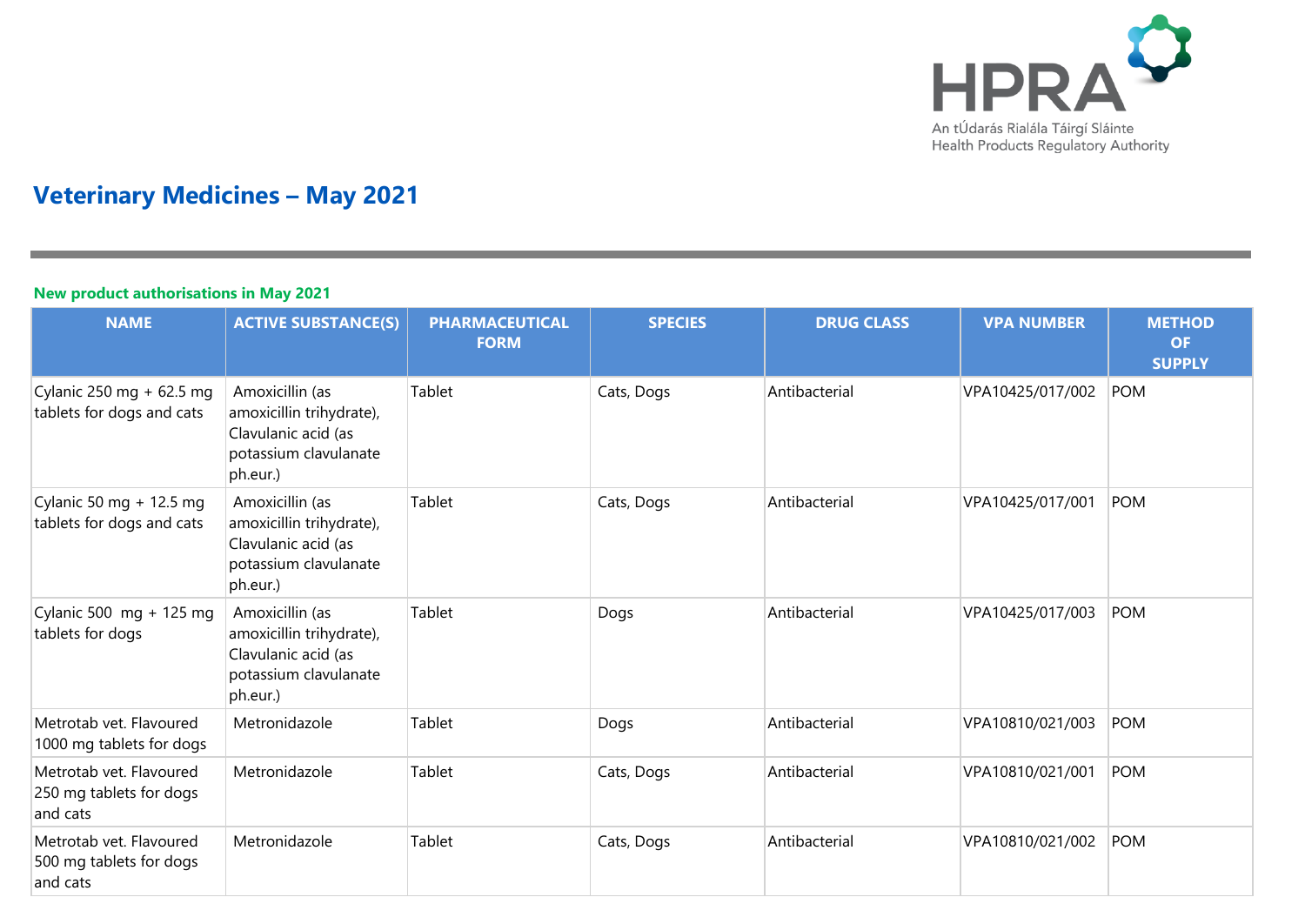

# **Veterinary Medicines – May 2021**

#### **New product authorisations in May 2021**

| <b>NAME</b>                                                    | <b>ACTIVE SUBSTANCE(S)</b>                                                                              | <b>PHARMACEUTICAL</b><br><b>FORM</b> | <b>SPECIES</b> | <b>DRUG CLASS</b> | <b>VPA NUMBER</b> | <b>METHOD</b><br><b>OF</b><br><b>SUPPLY</b> |
|----------------------------------------------------------------|---------------------------------------------------------------------------------------------------------|--------------------------------------|----------------|-------------------|-------------------|---------------------------------------------|
| Cylanic 250 mg + 62.5 mg<br>tablets for dogs and cats          | Amoxicillin (as<br>amoxicillin trihydrate),<br>Clavulanic acid (as<br>potassium clavulanate<br>ph.eur.) | Tablet                               | Cats, Dogs     | Antibacterial     | VPA10425/017/002  | POM                                         |
| Cylanic 50 mg + 12.5 mg<br>tablets for dogs and cats           | Amoxicillin (as<br>amoxicillin trihydrate),<br>Clavulanic acid (as<br>potassium clavulanate<br>ph.eur.) | Tablet                               | Cats, Dogs     | Antibacterial     | VPA10425/017/001  | POM                                         |
| Cylanic 500 $mg + 125 mg$<br>tablets for dogs                  | Amoxicillin (as<br>amoxicillin trihydrate),<br>Clavulanic acid (as<br>potassium clavulanate<br>ph.eur.) | Tablet                               | Dogs           | Antibacterial     | VPA10425/017/003  | <b>POM</b>                                  |
| Metrotab vet. Flavoured<br>1000 mg tablets for dogs            | Metronidazole                                                                                           | Tablet                               | Dogs           | Antibacterial     | VPA10810/021/003  | <b>POM</b>                                  |
| Metrotab vet. Flavoured<br>250 mg tablets for dogs<br>and cats | Metronidazole                                                                                           | Tablet                               | Cats, Dogs     | Antibacterial     | VPA10810/021/001  | <b>POM</b>                                  |
| Metrotab vet. Flavoured<br>500 mg tablets for dogs<br>and cats | Metronidazole                                                                                           | Tablet                               | Cats, Dogs     | Antibacterial     | VPA10810/021/002  | POM                                         |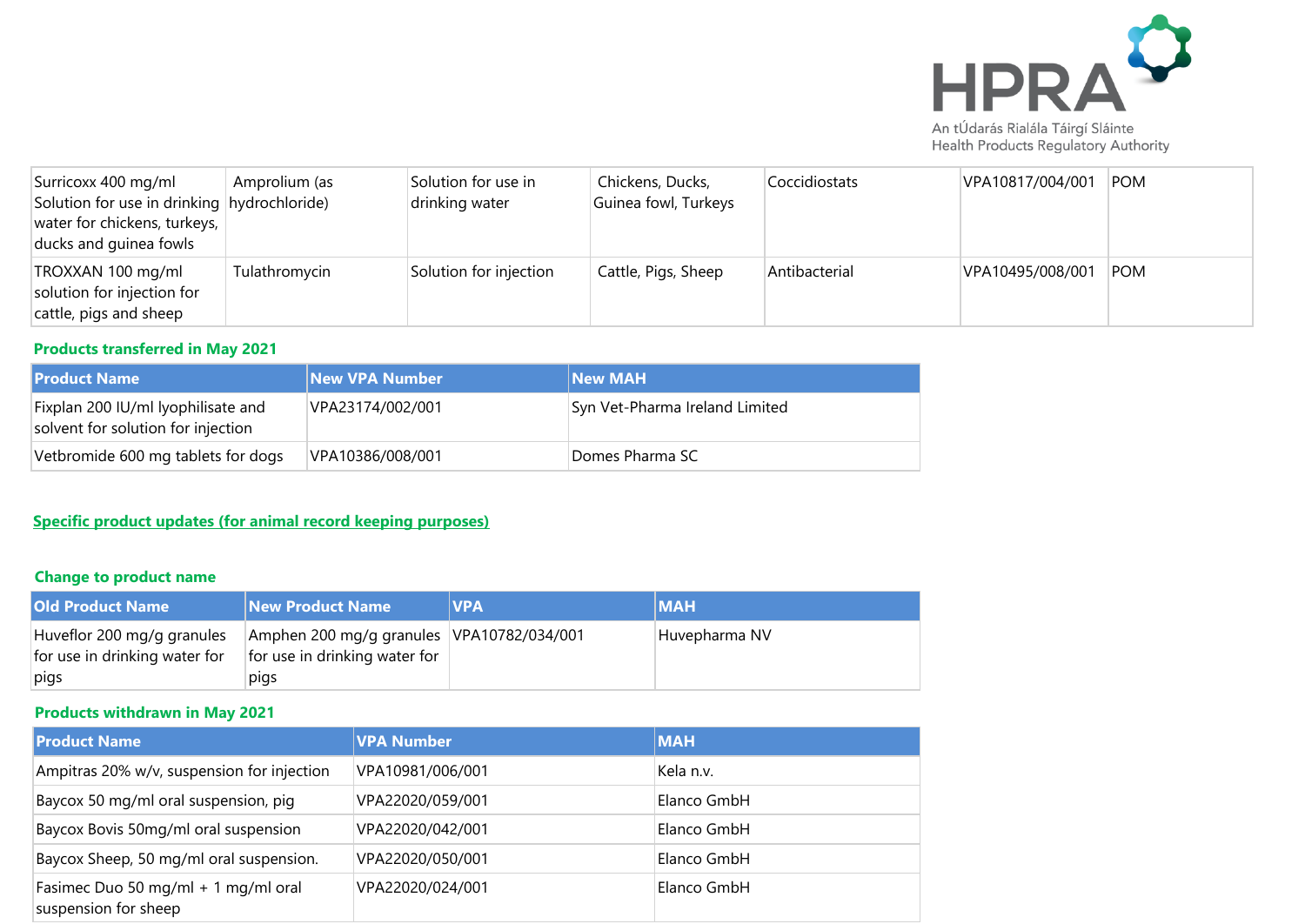

| Surricoxx 400 mg/ml<br>Solution for use in drinking hydrochloride)<br>water for chickens, turkeys,<br>ducks and guinea fowls | Amprolium (as | Solution for use in<br>drinking water | Chickens, Ducks,<br>Guinea fowl, Turkeys | Coccidiostats | VPA10817/004/001 | POM        |
|------------------------------------------------------------------------------------------------------------------------------|---------------|---------------------------------------|------------------------------------------|---------------|------------------|------------|
| TROXXAN 100 mg/ml<br>solution for injection for<br>cattle, pigs and sheep                                                    | Tulathromycin | Solution for injection                | Cattle, Pigs, Sheep                      | Antibacterial | VPA10495/008/001 | <b>POM</b> |

#### **Products transferred in May 2021**

| l Product Name                                                           | <b>New VPA Number</b> | <b>New MAH</b>                 |
|--------------------------------------------------------------------------|-----------------------|--------------------------------|
| Fixplan 200 IU/ml lyophilisate and<br>solvent for solution for injection | VPA23174/002/001      | Syn Vet-Pharma Ireland Limited |
| Vetbromide 600 mg tablets for dogs                                       | VPA10386/008/001      | Domes Pharma SC                |

## **Specific product updates (for animal record keeping purposes)**

## **Change to product name**

| <b>Old Product Name</b>                                             | New Product Name                                                                   | <b>IVPA</b> | <b>MAH</b>    |
|---------------------------------------------------------------------|------------------------------------------------------------------------------------|-------------|---------------|
| Huveflor 200 mg/g granules<br>for use in drinking water for<br>pigs | Amphen 200 mg/g granules VPA10782/034/001<br>for use in drinking water for<br>pigs |             | Huvepharma NV |

# **Products withdrawn in May 2021**

| <b>Product Name</b>                                         | <b>VPA Number</b> | <b>MAH</b>  |
|-------------------------------------------------------------|-------------------|-------------|
| Ampitras 20% w/v, suspension for injection                  | VPA10981/006/001  | Kela n.v.   |
| Baycox 50 mg/ml oral suspension, piq                        | VPA22020/059/001  | Elanco GmbH |
| Baycox Bovis 50mg/ml oral suspension                        | VPA22020/042/001  | Elanco GmbH |
| Baycox Sheep, 50 mg/ml oral suspension.                     | VPA22020/050/001  | Elanco GmbH |
| Fasimec Duo 50 mg/ml + 1 mg/ml oral<br>suspension for sheep | VPA22020/024/001  | Elanco GmbH |